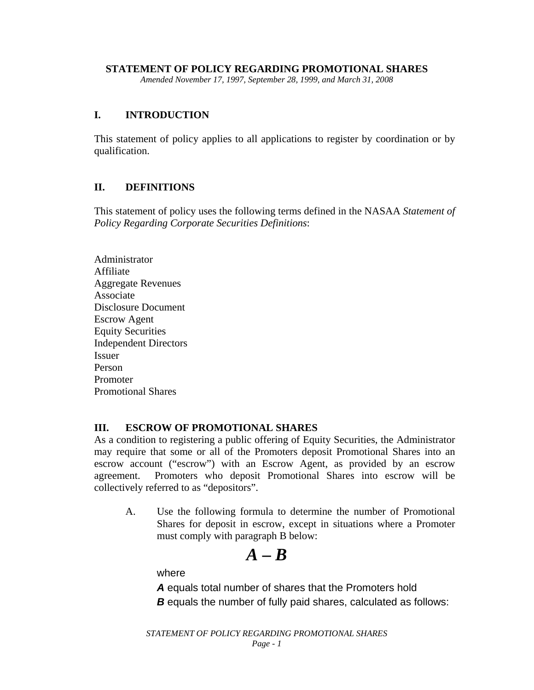#### **STATEMENT OF POLICY REGARDING PROMOTIONAL SHARES**

*Amended November 17, 1997, September 28, 1999, and March 31, 2008* 

## **I. INTRODUCTION**

This statement of policy applies to all applications to register by coordination or by qualification.

### **II. DEFINITIONS**

This statement of policy uses the following terms defined in the NASAA *Statement of Policy Regarding Corporate Securities Definitions*:

Administrator Affiliate Aggregate Revenues Associate Disclosure Document Escrow Agent Equity Securities Independent Directors Issuer Person Promoter Promotional Shares

#### **III. ESCROW OF PROMOTIONAL SHARES**

As a condition to registering a public offering of Equity Securities, the Administrator may require that some or all of the Promoters deposit Promotional Shares into an escrow account ("escrow") with an Escrow Agent, as provided by an escrow agreement. Promoters who deposit Promotional Shares into escrow will be collectively referred to as "depositors".

A. Use the following formula to determine the number of Promotional Shares for deposit in escrow, except in situations where a Promoter must comply with paragraph B below:

$$
\bm{A}-\bm{B}
$$

where

*A* equals total number of shares that the Promoters hold *B* equals the number of fully paid shares, calculated as follows: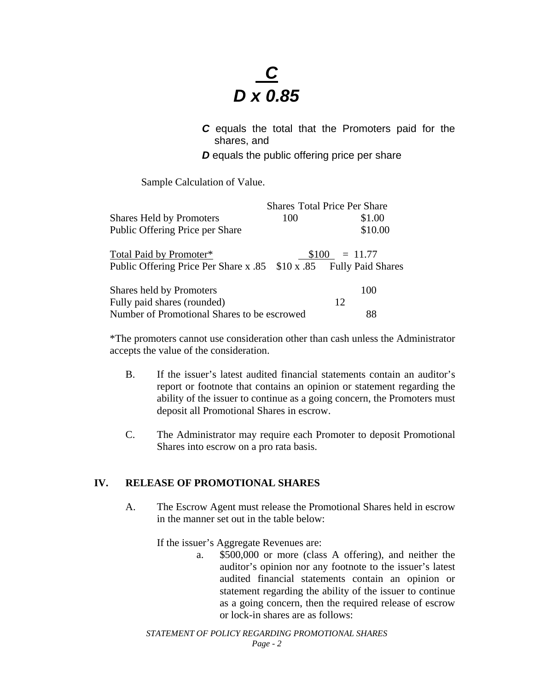# *C D x 0.85*

*C* equals the total that the Promoters paid for the shares, and

*D* equals the public offering price per share

Sample Calculation of Value.

|                                                                    |     | <b>Shares Total Price Per Share</b> |  |
|--------------------------------------------------------------------|-----|-------------------------------------|--|
| <b>Shares Held by Promoters</b>                                    | 100 | \$1.00                              |  |
| Public Offering Price per Share                                    |     | \$10.00                             |  |
| Total Paid by Promoter*                                            |     | $$100 = 11.77$                      |  |
| Public Offering Price Per Share x .85 \$10 x .85 Fully Paid Shares |     |                                     |  |
| Shares held by Promoters                                           |     | 100                                 |  |
| Fully paid shares (rounded)                                        |     | 12                                  |  |
| Number of Promotional Shares to be escrowed                        |     | 88                                  |  |

\*The promoters cannot use consideration other than cash unless the Administrator accepts the value of the consideration.

- B. If the issuer's latest audited financial statements contain an auditor's report or footnote that contains an opinion or statement regarding the ability of the issuer to continue as a going concern, the Promoters must deposit all Promotional Shares in escrow.
- C. The Administrator may require each Promoter to deposit Promotional Shares into escrow on a pro rata basis.

# **IV. RELEASE OF PROMOTIONAL SHARES**

A. The Escrow Agent must release the Promotional Shares held in escrow in the manner set out in the table below:

If the issuer's Aggregate Revenues are:

a. \$500,000 or more (class A offering), and neither the auditor's opinion nor any footnote to the issuer's latest audited financial statements contain an opinion or statement regarding the ability of the issuer to continue as a going concern, then the required release of escrow or lock-in shares are as follows: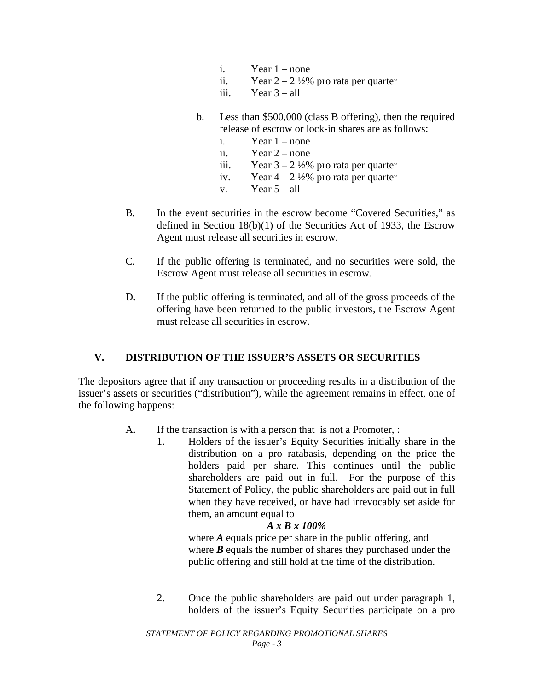- i. Year  $1$  none
- ii. Year  $2 2\frac{1}{2}\%$  pro rata per quarter
- iii. Year  $3 all$
- b. Less than \$500,000 (class B offering), then the required release of escrow or lock-in shares are as follows:
	- i. Year 1 none
	- ii. Year 2 none
	- iii. Year  $3 2\frac{1}{2}\%$  pro rata per quarter
	- iv. Year  $4 2\frac{1}{2}\%$  pro rata per quarter
	- v. Year  $5 \text{all}$
- B. In the event securities in the escrow become "Covered Securities," as defined in Section 18(b)(1) of the Securities Act of 1933, the Escrow Agent must release all securities in escrow.
- C. If the public offering is terminated, and no securities were sold, the Escrow Agent must release all securities in escrow.
- D. If the public offering is terminated, and all of the gross proceeds of the offering have been returned to the public investors, the Escrow Agent must release all securities in escrow.

# **V. DISTRIBUTION OF THE ISSUER'S ASSETS OR SECURITIES**

The depositors agree that if any transaction or proceeding results in a distribution of the issuer's assets or securities ("distribution"), while the agreement remains in effect, one of the following happens:

- A. If the transaction is with a person that is not a Promoter, :
	- 1. Holders of the issuer's Equity Securities initially share in the distribution on a pro ratabasis, depending on the price the holders paid per share. This continues until the public shareholders are paid out in full. For the purpose of this Statement of Policy, the public shareholders are paid out in full when they have received, or have had irrevocably set aside for them, an amount equal to

#### *A x B x 100%*

where *A* equals price per share in the public offering, and where *B* equals the number of shares they purchased under the public offering and still hold at the time of the distribution.

2. Once the public shareholders are paid out under paragraph 1, holders of the issuer's Equity Securities participate on a pro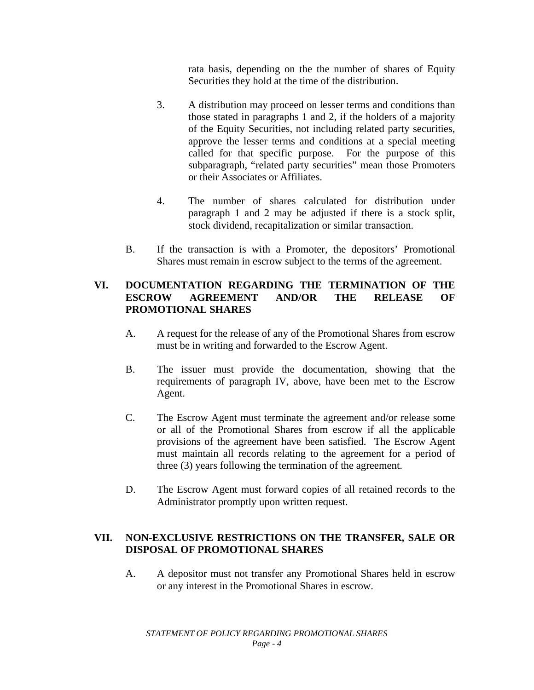rata basis, depending on the the number of shares of Equity Securities they hold at the time of the distribution.

- 3. A distribution may proceed on lesser terms and conditions than those stated in paragraphs 1 and 2, if the holders of a majority of the Equity Securities, not including related party securities, approve the lesser terms and conditions at a special meeting called for that specific purpose. For the purpose of this subparagraph, "related party securities" mean those Promoters or their Associates or Affiliates.
- 4. The number of shares calculated for distribution under paragraph 1 and 2 may be adjusted if there is a stock split, stock dividend, recapitalization or similar transaction.
- B. If the transaction is with a Promoter, the depositors' Promotional Shares must remain in escrow subject to the terms of the agreement.

## **VI. DOCUMENTATION REGARDING THE TERMINATION OF THE ESCROW AGREEMENT AND/OR THE RELEASE OF PROMOTIONAL SHARES**

- A. A request for the release of any of the Promotional Shares from escrow must be in writing and forwarded to the Escrow Agent.
- B. The issuer must provide the documentation, showing that the requirements of paragraph IV, above, have been met to the Escrow Agent.
- C. The Escrow Agent must terminate the agreement and/or release some or all of the Promotional Shares from escrow if all the applicable provisions of the agreement have been satisfied. The Escrow Agent must maintain all records relating to the agreement for a period of three (3) years following the termination of the agreement.
- D. The Escrow Agent must forward copies of all retained records to the Administrator promptly upon written request.

# **VII. NON-EXCLUSIVE RESTRICTIONS ON THE TRANSFER, SALE OR DISPOSAL OF PROMOTIONAL SHARES**

A. A depositor must not transfer any Promotional Shares held in escrow or any interest in the Promotional Shares in escrow.